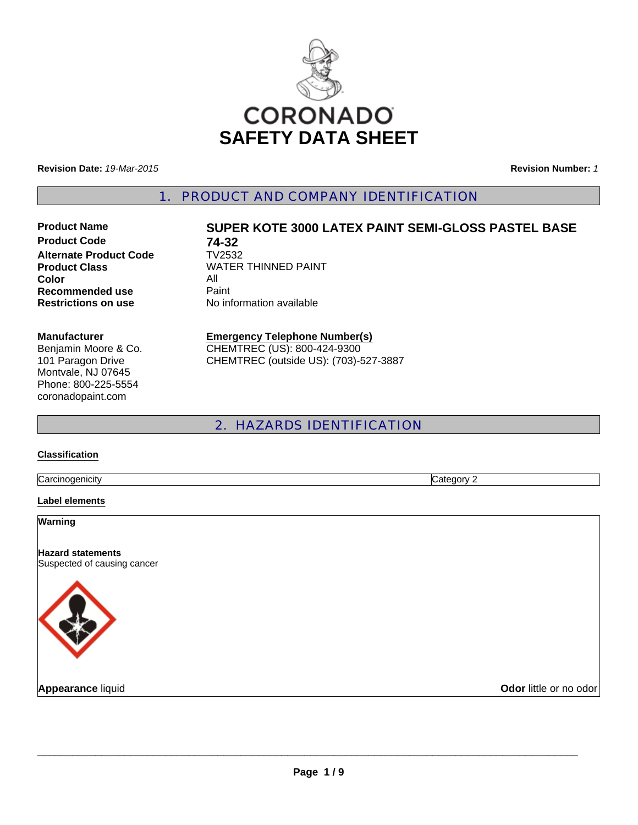

**Revision Date:** *19-Mar-2015*

**Revision Number:** *1*

1. PRODUCT AND COMPANY IDENTIFICATION

**Product Code 74-32**<br>**Alternate Product Code** TV2532 **Alternate Product Code Color** All **Recommended use Paint Restrictions on use** No information available

# **Product Name SUPER KOTE 3000 LATEX PAINT SEMI-GLOSS PASTEL BASE**

**Product Class WATER THINNED PAINT** 

#### **Manufacturer**

Benjamin Moore & Co. 101 Paragon Drive Montvale, NJ 07645 Phone: 800-225-5554 coronadopaint.com

#### **Emergency Telephone Number(s)** CHEMTREC (US): 800-424-9300 CHEMTREC (outside US): (703)-527-3887

# 2. HAZARDS IDENTIFICATION

#### **Classification**

**Carcinogenicity** Category 2

#### **Label elements**

**Warning**

**Hazard statements** Suspected of causing cancer



**Appearance liquid Odor little or no odor**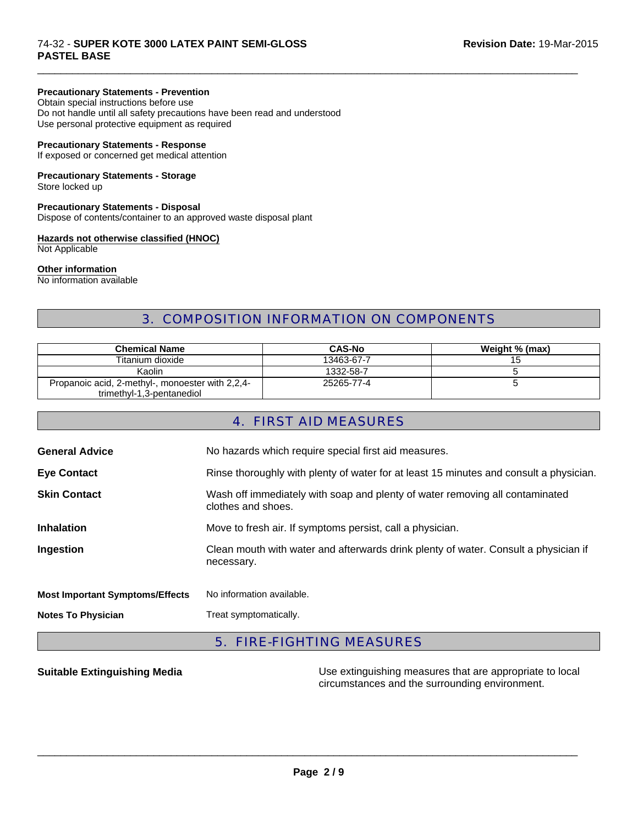#### 74-32 - **SUPER KOTE 3000 LATEX PAINT SEMI-GLOSS Revision Date:** 19-Mar-2015 **PASTEL BASE**

#### **Precautionary Statements - Prevention**

Obtain special instructions before use Do not handle until all safety precautions have been read and understood Use personal protective equipment as required

#### **Precautionary Statements - Response**

If exposed or concerned get medical attention

# **Precautionary Statements - Storage**

Store locked up

### **Precautionary Statements - Disposal**

Dispose of contents/container to an approved waste disposal plant

#### **Hazards not otherwise classified (HNOC)**

Not Applicable

#### **Other information**

No information available

# 3. COMPOSITION INFORMATION ON COMPONENTS

 $\Box$ 

| <b>Chemical Name</b>                             | <b>CAS-No</b> | Weight % (max) |
|--------------------------------------------------|---------------|----------------|
| Titanium dioxide                                 | 13463-67-7    | 15             |
| Kaolin                                           | 1332-58-7     |                |
| Propanoic acid, 2-methyl-, monoester with 2,2,4- | 25265-77-4    |                |
| trimethyl-1,3-pentanediol                        |               |                |

## 4. FIRST AID MEASURES

| <b>General Advice</b>                  | No hazards which require special first aid measures.                                               |
|----------------------------------------|----------------------------------------------------------------------------------------------------|
| <b>Eye Contact</b>                     | Rinse thoroughly with plenty of water for at least 15 minutes and consult a physician.             |
| <b>Skin Contact</b>                    | Wash off immediately with soap and plenty of water removing all contaminated<br>clothes and shoes. |
| <b>Inhalation</b>                      | Move to fresh air. If symptoms persist, call a physician.                                          |
| Ingestion                              | Clean mouth with water and afterwards drink plenty of water. Consult a physician if<br>necessary.  |
| <b>Most Important Symptoms/Effects</b> | No information available.                                                                          |
| <b>Notes To Physician</b>              | Treat symptomatically.                                                                             |

# 5. FIRE-FIGHTING MEASURES

**Suitable Extinguishing Media** Maximum Use extinguishing measures that are appropriate to local circumstances and the surrounding environment.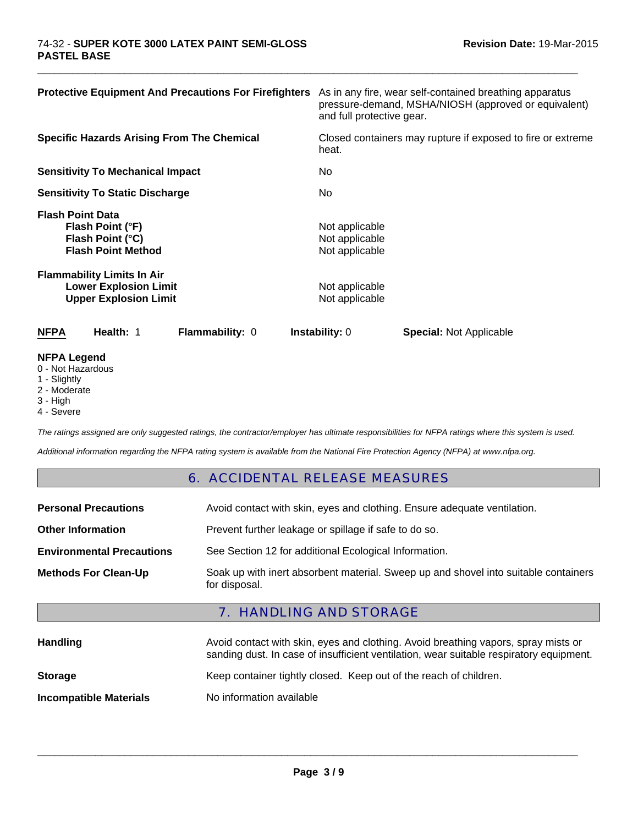| <b>Protective Equipment And Precautions For Firefighters</b>                                      | As in any fire, wear self-contained breathing apparatus<br>pressure-demand, MSHA/NIOSH (approved or equivalent)<br>and full protective gear. |
|---------------------------------------------------------------------------------------------------|----------------------------------------------------------------------------------------------------------------------------------------------|
| <b>Specific Hazards Arising From The Chemical</b>                                                 | Closed containers may rupture if exposed to fire or extreme<br>heat.                                                                         |
| <b>Sensitivity To Mechanical Impact</b>                                                           | No                                                                                                                                           |
| <b>Sensitivity To Static Discharge</b>                                                            | No.                                                                                                                                          |
| <b>Flash Point Data</b><br>Flash Point (°F)<br>Flash Point (°C)<br><b>Flash Point Method</b>      | Not applicable<br>Not applicable<br>Not applicable                                                                                           |
| <b>Flammability Limits In Air</b><br><b>Lower Explosion Limit</b><br><b>Upper Explosion Limit</b> | Not applicable<br>Not applicable                                                                                                             |
| <b>NFPA</b><br>Health: 1<br>Flammability: 0                                                       | <b>Instability: 0</b><br><b>Special: Not Applicable</b>                                                                                      |
| <b>NFPA Legend</b><br>$\bigcap$ Not Horordoug                                                     |                                                                                                                                              |

 $\Box$ 

- 0 Not Hazardous
- 1 Slightly
- 2 Moderate
- 3 High
- 4 Severe

*The ratings assigned are only suggested ratings, the contractor/employer has ultimate responsibilities for NFPA ratings where this system is used.*

*Additional information regarding the NFPA rating system is available from the National Fire Protection Agency (NFPA) at www.nfpa.org.*

### 6. ACCIDENTAL RELEASE MEASURES

| <b>Personal Precautions</b>      | Avoid contact with skin, eyes and clothing. Ensure adequate ventilation.                             |
|----------------------------------|------------------------------------------------------------------------------------------------------|
| <b>Other Information</b>         | Prevent further leakage or spillage if safe to do so.                                                |
| <b>Environmental Precautions</b> | See Section 12 for additional Ecological Information.                                                |
| <b>Methods For Clean-Up</b>      | Soak up with inert absorbent material. Sweep up and shovel into suitable containers<br>for disposal. |

# 7. HANDLING AND STORAGE

| <b>Handling</b>               | Avoid contact with skin, eyes and clothing. Avoid breathing vapors, spray mists or<br>sanding dust. In case of insufficient ventilation, wear suitable respiratory equipment. |
|-------------------------------|-------------------------------------------------------------------------------------------------------------------------------------------------------------------------------|
| <b>Storage</b>                | Keep container tightly closed. Keep out of the reach of children.                                                                                                             |
| <b>Incompatible Materials</b> | No information available                                                                                                                                                      |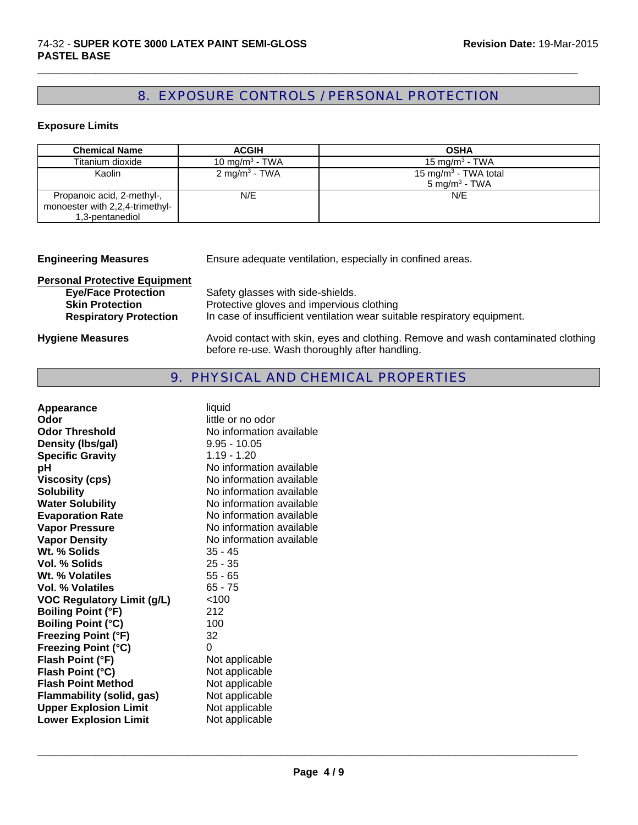# 8. EXPOSURE CONTROLS / PERSONAL PROTECTION

 $\Box$ 

#### **Exposure Limits**

| <b>Chemical Name</b>                                                             | <b>ACGIH</b>               | <b>OSHA</b>                                                   |
|----------------------------------------------------------------------------------|----------------------------|---------------------------------------------------------------|
| Titanium dioxide                                                                 | 10 mg/m <sup>3</sup> - TWA | 15 mg/m <sup>3</sup> - TWA                                    |
| Kaolin                                                                           | 2 mg/m <sup>3</sup> - TWA  | 15 mg/m <sup>3</sup> - TWA total<br>5 mg/m <sup>3</sup> - TWA |
| Propanoic acid, 2-methyl-,<br>monoester with 2,2,4-trimethyl-<br>1,3-pentanediol | N/E                        | N/E                                                           |

| <b>Engineering Measures</b>          | Ensure adequate ventilation, especially in confined areas.                                                                          |
|--------------------------------------|-------------------------------------------------------------------------------------------------------------------------------------|
| <b>Personal Protective Equipment</b> |                                                                                                                                     |
| <b>Eye/Face Protection</b>           | Safety glasses with side-shields.                                                                                                   |
| <b>Skin Protection</b>               | Protective gloves and impervious clothing                                                                                           |
| <b>Respiratory Protection</b>        | In case of insufficient ventilation wear suitable respiratory equipment.                                                            |
| <b>Hygiene Measures</b>              | Avoid contact with skin, eyes and clothing. Remove and wash contaminated clothing<br>before re-use. Wash thoroughly after handling. |

#### 9. PHYSICAL AND CHEMICAL PROPERTIES

| liquid                   |
|--------------------------|
| little or no odor        |
| No information available |
| $9.95 - 10.05$           |
| $1.19 - 1.20$            |
| No information available |
| No information available |
| No information available |
| No information available |
| No information available |
| No information available |
| No information available |
| $35 - 45$                |
| $25 - 35$                |
| $55 - 65$                |
| $65 - 75$                |
| < 100                    |
| 212                      |
| 100                      |
| 32                       |
| 0                        |
| Not applicable           |
| Not applicable           |
| Not applicable           |
| Not applicable           |
| Not applicable           |
| Not applicable           |
|                          |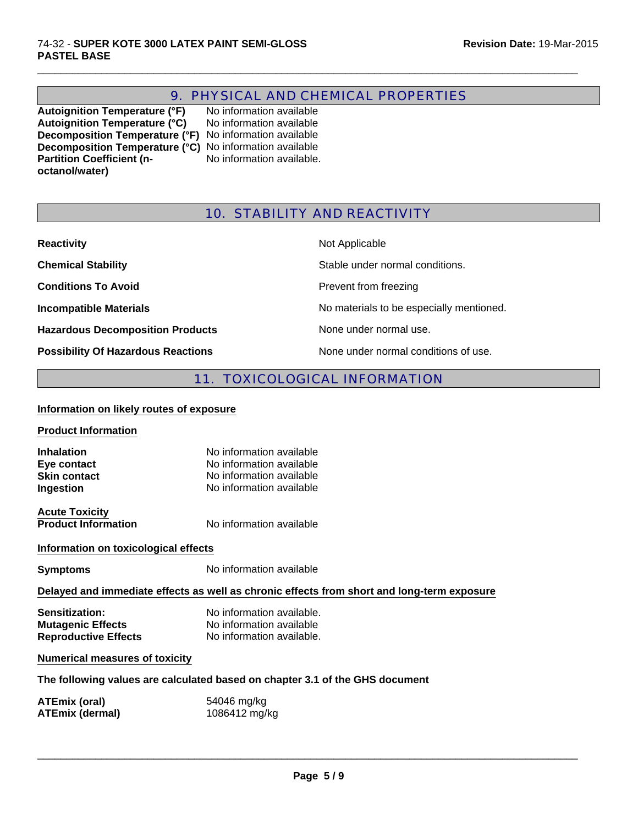# 9. PHYSICAL AND CHEMICAL PROPERTIES

 $\Box$ 

**Autoignition Temperature (°F)** No information available Autoignition Temperature (°C) No information available **Decomposition Temperature (°F)** No information available **Decomposition Temperature (°C)** No information available **Partition Coefficient (noctanol/water)**

No information available.

## 10. STABILITY AND REACTIVITY

| <b>Reactivity</b>                         | Not Applicable                           |
|-------------------------------------------|------------------------------------------|
| <b>Chemical Stability</b>                 | Stable under normal conditions.          |
| <b>Conditions To Avoid</b>                | Prevent from freezing                    |
| <b>Incompatible Materials</b>             | No materials to be especially mentioned. |
| <b>Hazardous Decomposition Products</b>   | None under normal use.                   |
| <b>Possibility Of Hazardous Reactions</b> | None under normal conditions of use.     |

# 11. TOXICOLOGICAL INFORMATION

#### **Information on likely routes of exposure**

| <b>Product Information</b> |                          |
|----------------------------|--------------------------|
| <b>Inhalation</b>          | No information available |
| Eye contact                | No information available |
| <b>Skin contact</b>        | No information available |

**Acute Toxicity**

**Product Information** No information available

#### **Information on toxicological effects**

**Symptoms** No information available

#### **Delayed and immediate effects as well as chronic effects from short and long-term exposure**

| <b>Sensitization:</b>       | No information available. |
|-----------------------------|---------------------------|
| <b>Mutagenic Effects</b>    | No information available  |
| <b>Reproductive Effects</b> | No information available. |

**Ingestion** No information available

#### **Numerical measures of toxicity**

#### **The following values are calculated based on chapter 3.1 of the GHS document**

| ATEmix (oral)          | 54046 mg/kg   |
|------------------------|---------------|
| <b>ATEmix (dermal)</b> | 1086412 mg/kg |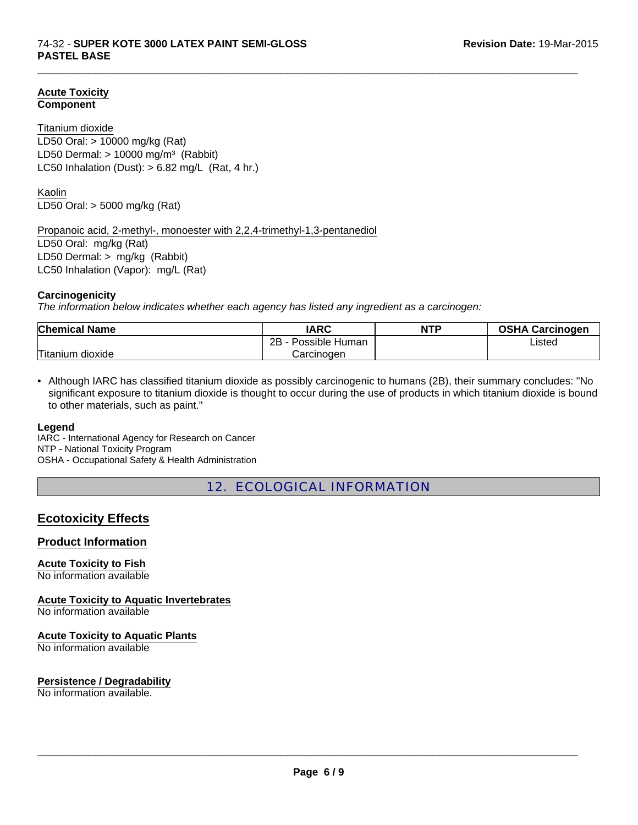#### **Acute Toxicity Component**

#### Titanium dioxide

LD50 Dermal:  $> 10000$  mg/m<sup>3</sup> (Rabbit) LC50 Inhalation (Dust):  $> 6.82$  mg/L (Rat, 4 hr.) LD50 Oral: > 10000 mg/kg (Rat)

Kaolin LD50 Oral: > 5000 mg/kg (Rat)

Propanoic acid, 2-methyl-, monoester with 2,2,4-trimethyl-1,3-pentanediol

LD50 Oral: mg/kg (Rat) LD50 Dermal: > mg/kg (Rabbit) LC50 Inhalation (Vapor): mg/L (Rat)

#### **Carcinogenicity**

*The information below indicates whether each agency has listed any ingredient as a carcinogen:*

| <b>Chemical Name</b>  | IARC                 | <b>NTP</b> | <b>OSHA Carcinogen</b> |
|-----------------------|----------------------|------------|------------------------|
|                       | 2Β<br>Possible Human |            | Listed                 |
| Titanium<br>dioxide ו | Carcinogen           |            |                        |

 $\Box$ 

• Although IARC has classified titanium dioxide as possibly carcinogenic to humans (2B), their summary concludes: "No significant exposure to titanium dioxide is thought to occur during the use of products in which titanium dioxide is bound to other materials, such as paint."

#### **Legend**

IARC - International Agency for Research on Cancer NTP - National Toxicity Program OSHA - Occupational Safety & Health Administration

12. ECOLOGICAL INFORMATION

# **Ecotoxicity Effects**

### **Product Information**

**Acute Toxicity to Fish**

No information available

**Acute Toxicity to Aquatic Invertebrates**

No information available

#### **Acute Toxicity to Aquatic Plants**

No information available

#### **Persistence / Degradability**

No information available.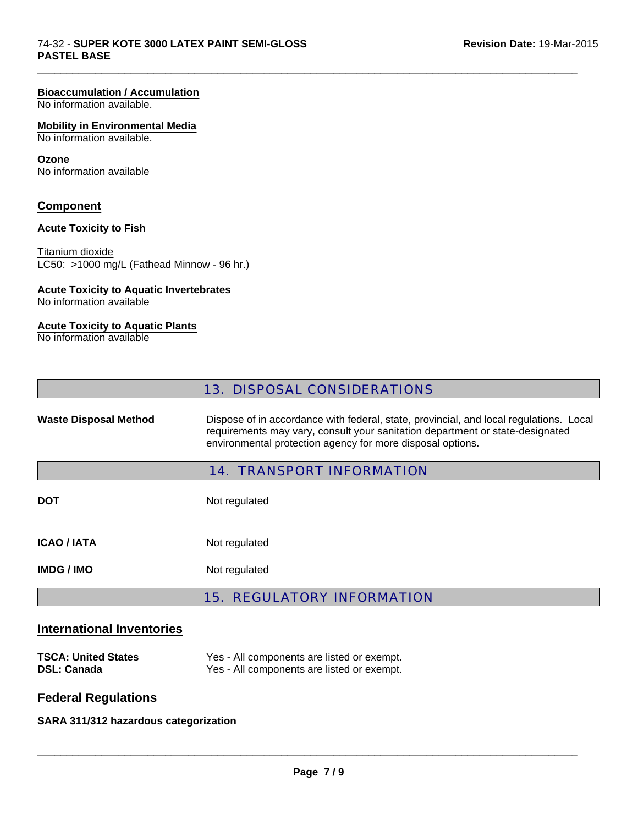#### **Bioaccumulation / Accumulation**

No information available.

#### **Mobility in Environmental Media**

No information available.

#### **Ozone**

No information available

#### **Component**

#### **Acute Toxicity to Fish**

Titanium dioxide LC50: >1000 mg/L (Fathead Minnow - 96 hr.)

#### **Acute Toxicity to Aquatic Invertebrates**

No information available

#### **Acute Toxicity to Aquatic Plants**

No information available

 $\Box$ 

Waste Disposal Method **Dispose of in accordance with federal, state, provincial, and local regulations. Local** requirements may vary, consult your sanitation department or state-designated environmental protection agency for more disposal options.

#### 14. TRANSPORT INFORMATION

**DOT** Not regulated **ICAO / IATA** Not regulated

**IMDG / IMO** Not regulated

# 15. REGULATORY INFORMATION

### **International Inventories**

| <b>TSCA: United States</b> | Yes - All components are listed or exempt. |
|----------------------------|--------------------------------------------|
| <b>DSL: Canada</b>         | Yes - All components are listed or exempt. |

# **Federal Regulations**

## **SARA 311/312 hazardous categorization**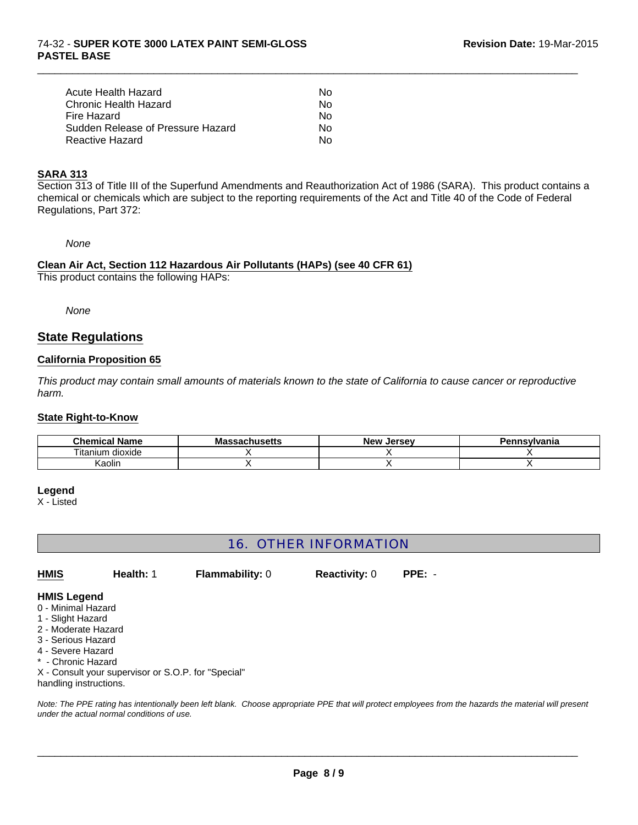#### 74-32 - **SUPER KOTE 3000 LATEX PAINT SEMI-GLOSS PASTEL BASE**

| Acute Health Hazard               | Nο |
|-----------------------------------|----|
| Chronic Health Hazard             | Nο |
| Fire Hazard                       | Nο |
| Sudden Release of Pressure Hazard | N٥ |
| Reactive Hazard                   | N٥ |

### **SARA 313**

Section 313 of Title III of the Superfund Amendments and Reauthorization Act of 1986 (SARA). This product contains a chemical or chemicals which are subject to the reporting requirements of the Act and Title 40 of the Code of Federal Regulations, Part 372:

 $\Box$ 

*None*

#### **Clean Air Act, Section 112 Hazardous Air Pollutants (HAPs) (see 40 CFR 61)** This product contains the following HAPs:

*None*

## **State Regulations**

#### **California Proposition 65**

*This product may contain small amounts of materials known to the state of California to cause cancer or reproductive harm.*

#### **State Right-to-Know**

| <b>Chemical Name</b>       | husatts<br>Ма<br>лизецз | <b>New</b><br>Jersev | Pennsvlvania |
|----------------------------|-------------------------|----------------------|--------------|
| --<br>dioxide<br>. itaniur |                         |                      |              |
| Kaolin                     |                         |                      |              |

#### **Legend**

X - Listed

# 16. OTHER INFORMATION

**Reactivity:** 0 **PPE:** - **HMIS Health:** 1 **Flammability:** 0

#### **HMIS Legend**

- 0 Minimal Hazard
- 1 Slight Hazard
- 2 Moderate Hazard
- 3 Serious Hazard
- 4 Severe Hazard
- \* Chronic Hazard

X - Consult your supervisor or S.O.P. for "Special"

handling instructions.

*Note: The PPE rating has intentionally been left blank. Choose appropriate PPE that will protect employees from the hazards the material will present under the actual normal conditions of use.*